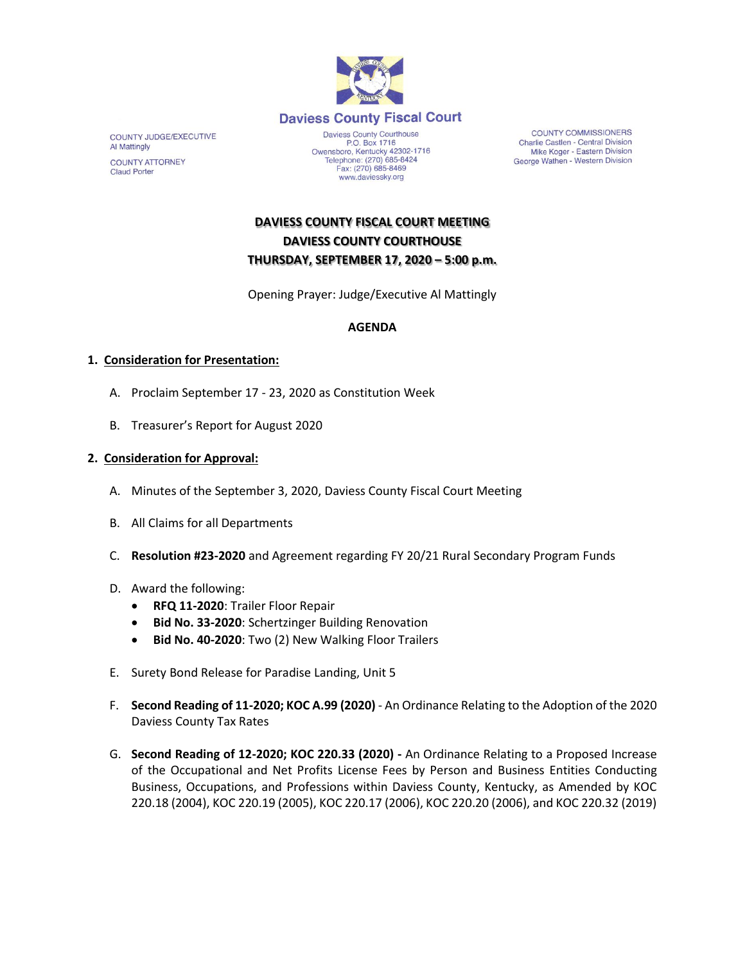

COUNTY JUDGE/EXECUTIVE Al Mattingly **COUNTY ATTORNEY Claud Porter** 

P.O. Box 1716<br>Owensboro, Kentucky 42302-1716<br>Telephone: (270) 685-8424 Fax: (270) 685-8469 www.daviessky.org

**COUNTY COMMISSIONERS** Charlie Castlen - Central Division Mike Koger - Eastern Division George Wathen - Western Division

# **DAVIESS COUNTY FISCAL COURT MEETING DAVIESS COUNTY COURTHOUSE THURSDAY, SEPTEMBER 17, 2020 – 5:00 p.m.**

Opening Prayer: Judge/Executive Al Mattingly

## **AGENDA**

## **1. Consideration for Presentation:**

- A. Proclaim September 17 23, 2020 as Constitution Week
- B. Treasurer's Report for August 2020

#### **2. Consideration for Approval:**

- A. Minutes of the September 3, 2020, Daviess County Fiscal Court Meeting
- B. All Claims for all Departments
- C. **Resolution #23-2020** and Agreement regarding FY 20/21 Rural Secondary Program Funds
- D. Award the following:
	- **RFQ 11-2020**: Trailer Floor Repair
	- **Bid No. 33-2020**: Schertzinger Building Renovation
	- **Bid No. 40-2020**: Two (2) New Walking Floor Trailers
- E. Surety Bond Release for Paradise Landing, Unit 5
- F. **Second Reading of 11-2020; KOC A.99 (2020)** An Ordinance Relating to the Adoption of the 2020 Daviess County Tax Rates
- G. **Second Reading of 12-2020; KOC 220.33 (2020) -** An Ordinance Relating to a Proposed Increase of the Occupational and Net Profits License Fees by Person and Business Entities Conducting Business, Occupations, and Professions within Daviess County, Kentucky, as Amended by KOC 220.18 (2004), KOC 220.19 (2005), KOC 220.17 (2006), KOC 220.20 (2006), and KOC 220.32 (2019)